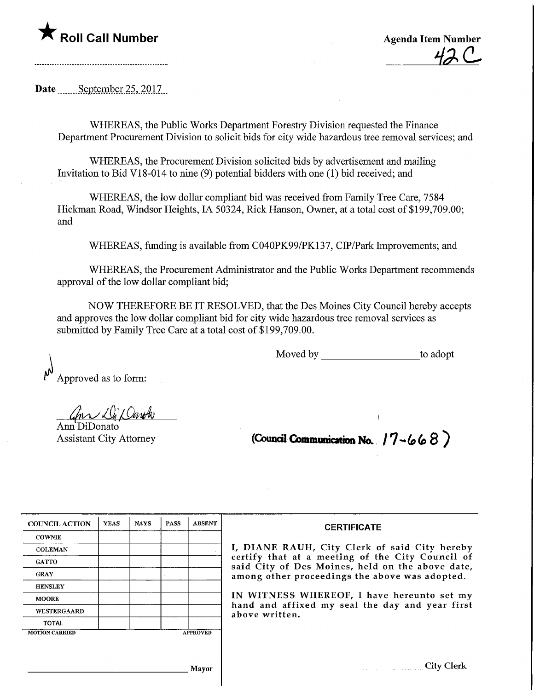Date September 25, 2017

WHEREAS, the Public Works Department Forestry Division requested the Finance Department Procurement Division to solicit bids for city wide hazardous tree removal services; and

WHEREAS, the Procurement Division solicited bids by advertisement and mailing Invitation to Bid VI 8-014 to nine (9) potential bidders with one (1) bid received; and

WHEREAS, the low dollar compliant bid was received from Family Tree Care, 7584 Hickman Road, Windsor Heights, IA 50324, Rick Hanson, Owner, at a total cost of \$199,709.00; and

WHEREAS, funding is available from C040PK99/PK137, CIP/Park Improvements; and

WHEREAS, the Procurement Administrator and the Public Works Department recommends approval of the low dollar compliant bid;

NOW THEREFORE BE IT RESOLVED, that the Des Moines City Council hereby accepts and approves the low dollar compliant bid for city wide hazardous tree removal services as submitted by Family Tree Care at a total cost of \$199,709.00.

Moved by to adopt

Approved as to form:

Inn Di Daroh

Ann DiDonato

Assistant City Attorney **(Council Communication No.**  $17 - 668$ )

| <b>COUNCIL ACTION</b> | <b>YEAS</b> | <b>NAYS</b> | <b>PASS</b>     | <b>ABSENT</b> |
|-----------------------|-------------|-------------|-----------------|---------------|
| <b>COWNIE</b>         |             |             |                 |               |
| <b>COLEMAN</b>        |             |             |                 |               |
| <b>GATTO</b>          |             |             |                 |               |
| <b>GRAY</b>           |             |             |                 |               |
| <b>HENSLEY</b>        |             |             |                 |               |
| <b>MOORE</b>          |             |             |                 |               |
| <b>WESTERGAARD</b>    |             |             |                 |               |
| <b>TOTAL</b>          |             |             |                 |               |
| <b>MOTION CARRIED</b> |             |             | <b>APPROVED</b> |               |

## **CERTIFICATE**

I, DIANE RAUH, City Clerk of said City hereby certify that at a meeting of the City Council of said City of Des Moines, held on the above date, among other proceedings the above was adopted.

IN WITNESS WHEREOF, I have hereunto set my hand and affixed my seal the day and year first above written.

Mayor